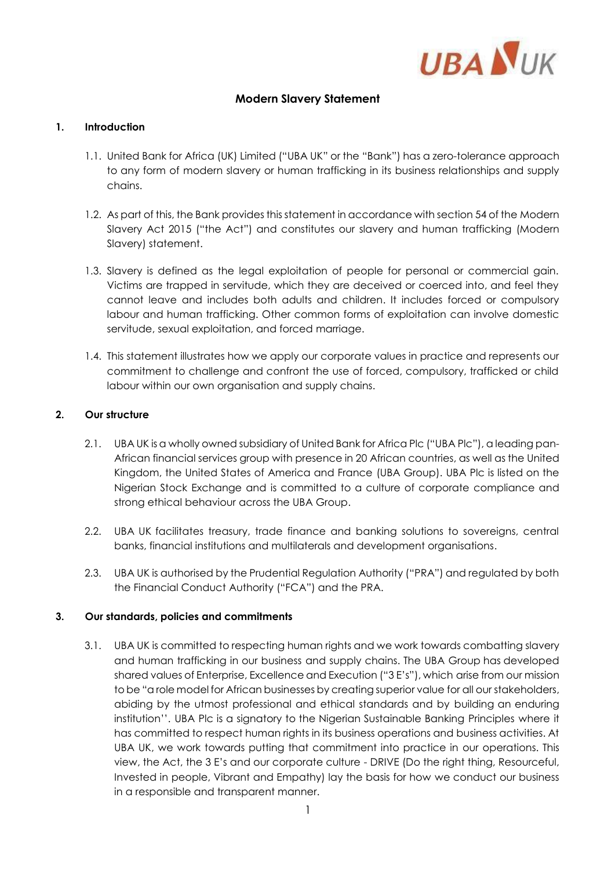

# **Modern Slavery Statement**

### **1. Introduction**

- 1.1. United Bank for Africa (UK) Limited ("UBA UK" or the "Bank") has a zero-tolerance approach to any form of modern slavery or human trafficking in its business relationships and supply chains.
- 1.2. As part of this, the Bank provides this statement in accordance with section 54 of the Modern Slavery Act 2015 ("the Act") and constitutes our slavery and human trafficking (Modern Slavery) statement.
- 1.3. Slavery is defined as the legal exploitation of people for personal or commercial gain. Victims are trapped in servitude, which they are deceived or coerced into, and feel they cannot leave and includes both adults and children. It includes forced or compulsory labour and human trafficking. Other common forms of exploitation can involve domestic servitude, sexual exploitation, and forced marriage.
- 1.4. This statement illustrates how we apply our corporate values in practice and represents our commitment to challenge and confront the use of forced, compulsory, trafficked or child labour within our own organisation and supply chains.

## **2. Our structure**

- 2.1. UBA UK is a wholly owned subsidiary of United Bank for Africa Plc ("UBA Plc"), a leading pan-African financial services group with presence in 20 African countries, as well as the United Kingdom, the United States of America and France (UBA Group). UBA Plc is listed on the Nigerian Stock Exchange and is committed to a culture of corporate compliance and strong ethical behaviour across the UBA Group.
- 2.2. UBA UK facilitates treasury, trade finance and banking solutions to sovereigns, central banks, financial institutions and multilaterals and development organisations.
- 2.3. UBA UK is authorised by the Prudential Regulation Authority ("PRA") and regulated by both the Financial Conduct Authority ("FCA") and the PRA.

#### **3. Our standards, policies and commitments**

3.1. UBA UK is committed to respecting human rights and we work towards combatting slavery and human trafficking in our business and supply chains. The UBA Group has developed shared values of Enterprise, Excellence and Execution ("3 E's"), which arise from our mission to be "a role model for African businesses by creating superior value for all our stakeholders, abiding by the utmost professional and ethical standards and by building an enduring institution''. UBA Plc is a signatory to the Nigerian Sustainable Banking Principles where it has committed to respect human rights in its business operations and business activities. At UBA UK, we work towards putting that commitment into practice in our operations. This view, the Act, the 3 E's and our corporate culture - DRIVE (Do the right thing, Resourceful, Invested in people, Vibrant and Empathy) lay the basis for how we conduct our business in a responsible and transparent manner.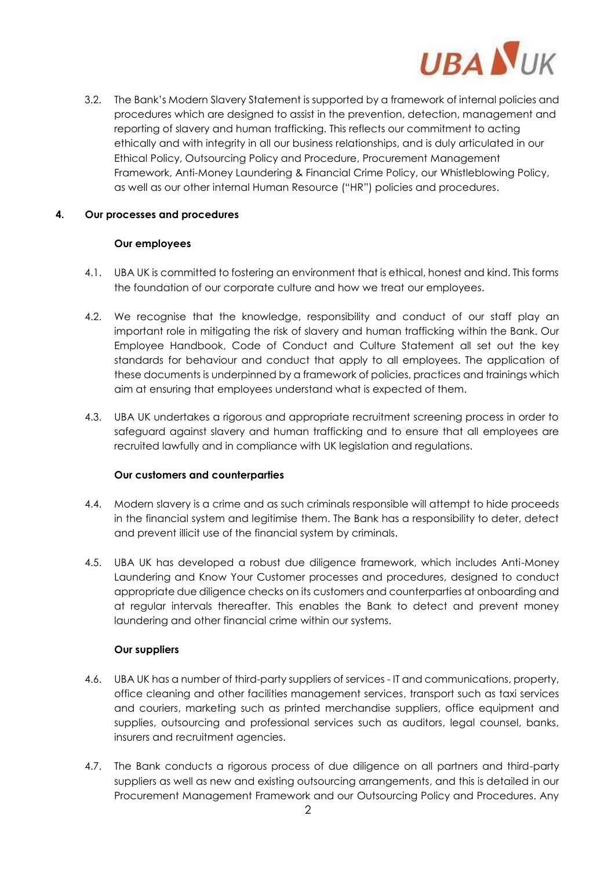

3.2. The Bank's Modern Slavery Statement is supported by a framework of internal policies and procedures which are designed to assist in the prevention, detection, management and reporting of slavery and human trafficking. This reflects our commitment to acting ethically and with integrity in all our business relationships, and is duly articulated in our Ethical Policy, Outsourcing Policy and Procedure, Procurement Management Framework, Anti-Money Laundering & Financial Crime Policy, our Whistleblowing Policy, as well as our other internal Human Resource ("HR") policies and procedures.

## **4. Our processes and procedures**

#### **Our employees**

- 4.1. UBA UK is committed to fostering an environment that is ethical, honest and kind. This forms the foundation of our corporate culture and how we treat our employees.
- 4.2. We recognise that the knowledge, responsibility and conduct of our staff play an important role in mitigating the risk of slavery and human trafficking within the Bank. Our Employee Handbook, Code of Conduct and Culture Statement all set out the key standards for behaviour and conduct that apply to all employees. The application of these documents is underpinned by a framework of policies, practices and trainings which aim at ensuring that employees understand what is expected of them.
- 4.3. UBA UK undertakes a rigorous and appropriate recruitment screening process in order to safeguard against slavery and human trafficking and to ensure that all employees are recruited lawfully and in compliance with UK legislation and regulations.

#### **Our customers and counterparties**

- 4.4. Modern slavery is a crime and as such criminals responsible will attempt to hide proceeds in the financial system and legitimise them. The Bank has a responsibility to deter, detect and prevent illicit use of the financial system by criminals.
- 4.5. UBA UK has developed a robust due diligence framework, which includes Anti-Money Laundering and Know Your Customer processes and procedures, designed to conduct appropriate due diligence checks on its customers and counterparties at onboarding and at regular intervals thereafter. This enables the Bank to detect and prevent money laundering and other financial crime within our systems.

# **Our suppliers**

- 4.6. UBA UK has a number of third-party suppliers of services IT and communications, property, office cleaning and other facilities management services, transport such as taxi services and couriers, marketing such as printed merchandise suppliers, office equipment and supplies, outsourcing and professional services such as auditors, legal counsel, banks, insurers and recruitment agencies.
- 4.7. The Bank conducts a rigorous process of due diligence on all partners and third-party suppliers as well as new and existing outsourcing arrangements, and this is detailed in our Procurement Management Framework and our Outsourcing Policy and Procedures. Any